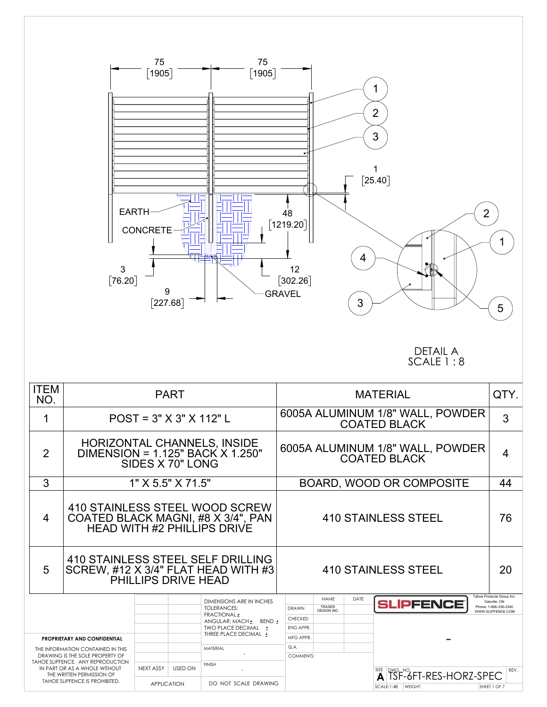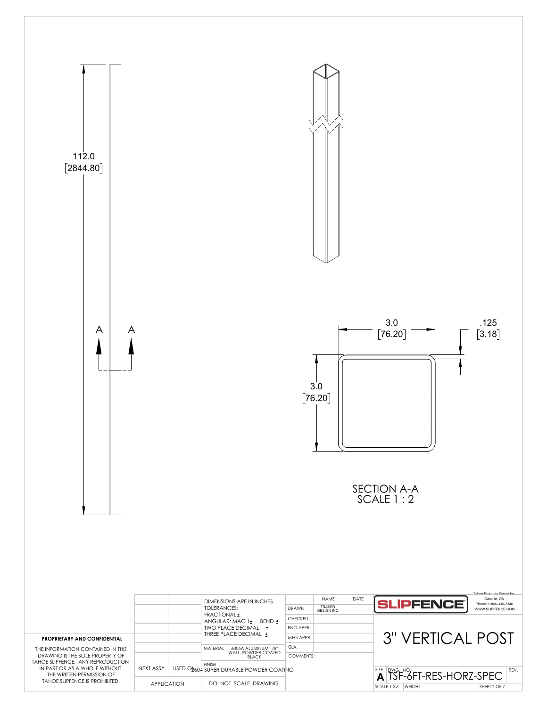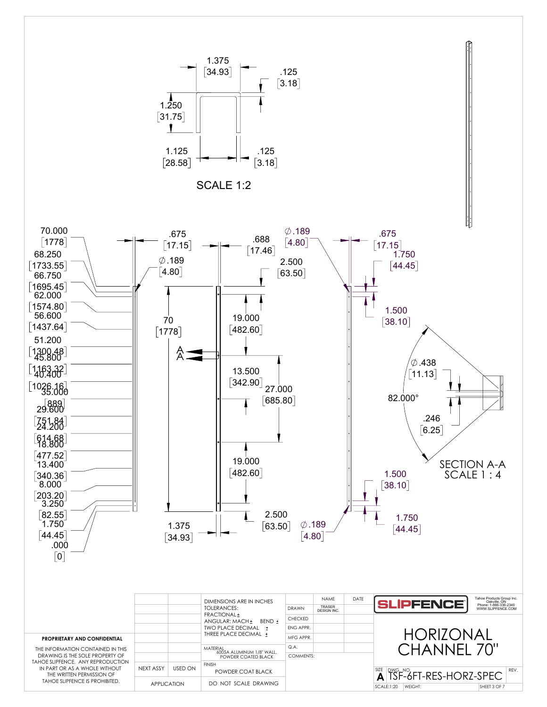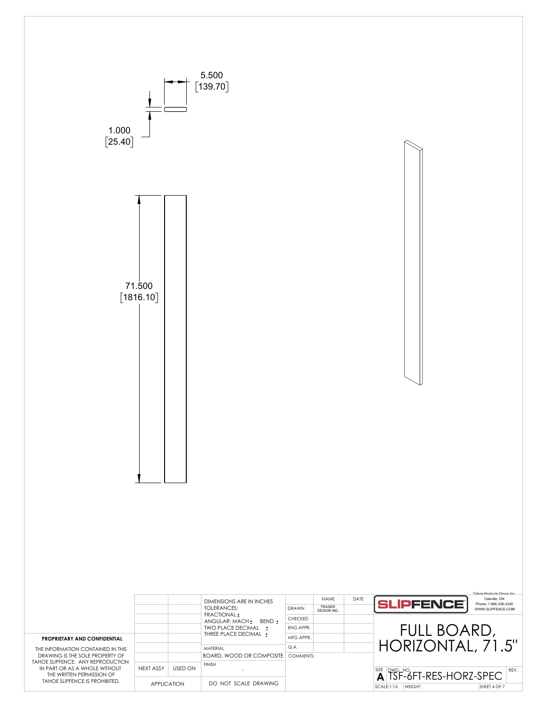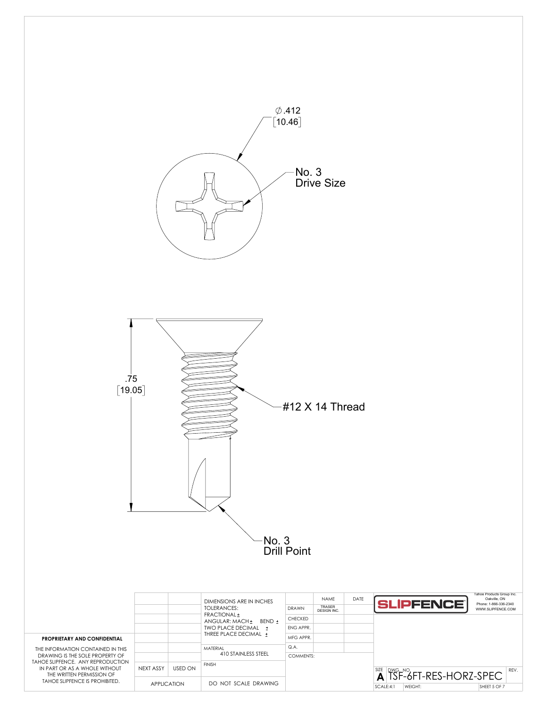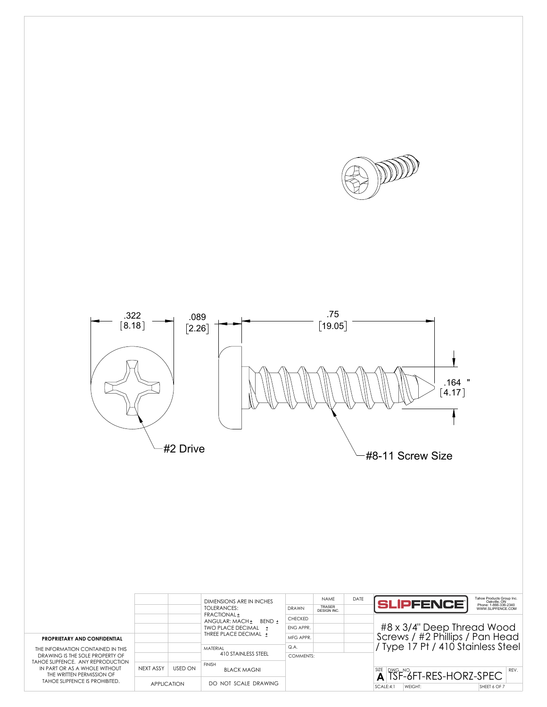



|                                                                                                                                                                                                                                                  |                    |                | DIMENSIONS ARE IN INCHES<br>TOI FRANCES:<br><b>FRACTIONAL +</b><br>BFND +<br>ANGULAR: MACH+ | <b>DRAWN</b>   | <b>NAMF</b><br><b>TRASER</b><br>DESIGN INC. | DATE | Tahoe Products Group Inc.<br>Oakville, ON<br>Phone: 1-866-336-2340<br><b>SLIPFENCE</b><br>WWW.SLIPFENCE.COM |
|--------------------------------------------------------------------------------------------------------------------------------------------------------------------------------------------------------------------------------------------------|--------------------|----------------|---------------------------------------------------------------------------------------------|----------------|---------------------------------------------|------|-------------------------------------------------------------------------------------------------------------|
|                                                                                                                                                                                                                                                  |                    |                |                                                                                             | <b>CHECKED</b> |                                             |      |                                                                                                             |
|                                                                                                                                                                                                                                                  |                    |                | TWO PLACE DECIMAL +                                                                         | ENG APPR.      |                                             |      | #8 x 3/4" Deep Thread Wood                                                                                  |
| <b>PROPRIETARY AND CONFIDENTIAL</b><br>THE INFORMATION CONTAINED IN THIS<br>DRAWING IS THE SOLE PROPERTY OF<br>TAHOF SLIPEENCE. ANY REPRODUCTION<br>IN PART OR AS A WHOLF WITHOUT<br>THE WRITTEN PERMISSION OF<br>TAHOE SLIPFENCE IS PROHIBITED. |                    |                | THREE PLACE DECIMAL +<br>MATFRIAL                                                           | MFG APPR.      |                                             |      | Screws / #2 Phillips / Pan Head<br>Type 17 Pt / 410 Stainless Steel                                         |
|                                                                                                                                                                                                                                                  |                    |                |                                                                                             | Q.A.           |                                             |      |                                                                                                             |
|                                                                                                                                                                                                                                                  |                    |                | 410 STAINLESS STEEL                                                                         | COMMENTS:      |                                             |      |                                                                                                             |
|                                                                                                                                                                                                                                                  | NEXT ASSY          | <b>USED ON</b> | <b>FINISH</b><br><b>BLACK MAGNI</b>                                                         |                |                                             |      | $\overline{A}^{\text{SZE}}$ $\overline{S}$ F-6FT-RES-HORZ-SPEC<br>REV.                                      |
|                                                                                                                                                                                                                                                  | <b>APPLICATION</b> |                | DO NOT SCALE DRAWING                                                                        |                |                                             |      | SCALE:4:1<br>WEIGHT:<br>SHEET 6 OF 7                                                                        |